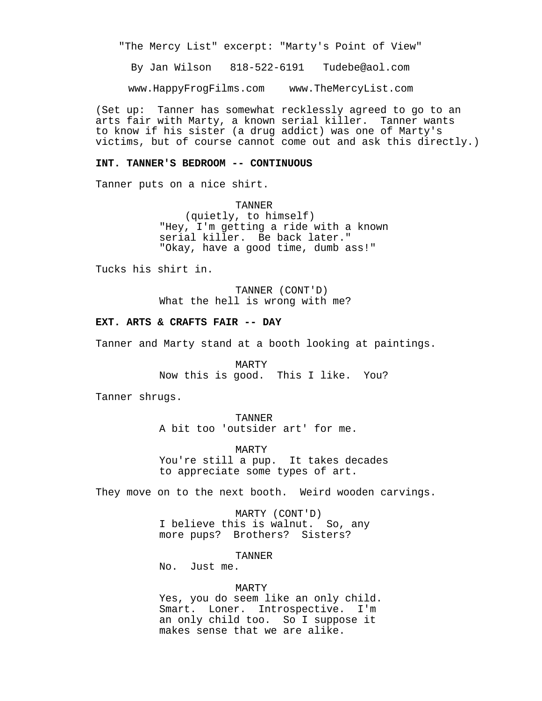"The Mercy List" excerpt: "Marty's Point of View"

By Jan Wilson 818-522-6191 Tudebe@aol.com

www.HappyFrogFilms.com www.TheMercyList.com

(Set up: Tanner has somewhat recklessly agreed to go to an arts fair with Marty, a known serial killer. Tanner wants to know if his sister (a drug addict) was one of Marty's victims, but of course cannot come out and ask this directly.)

## **INT. TANNER'S BEDROOM -- CONTINUOUS**

Tanner puts on a nice shirt.

TANNER (quietly, to himself) "Hey, I'm getting a ride with a known serial killer. Be back later." "Okay, have a good time, dumb ass!"

Tucks his shirt in.

TANNER (CONT'D) What the hell is wrong with me?

## **EXT. ARTS & CRAFTS FAIR -- DAY**

Tanner and Marty stand at a booth looking at paintings.

MARTY Now this is good. This I like. You?

Tanner shrugs.

TANNER A bit too 'outsider art' for me.

MARTY You're still a pup. It takes decades to appreciate some types of art.

They move on to the next booth. Weird wooden carvings.

MARTY (CONT'D) I believe this is walnut. So, any more pups? Brothers? Sisters?

TANNER

No. Just me.

## MARTY

Yes, you do seem like an only child. Smart. Loner. Introspective. I'm an only child too. So I suppose it makes sense that we are alike.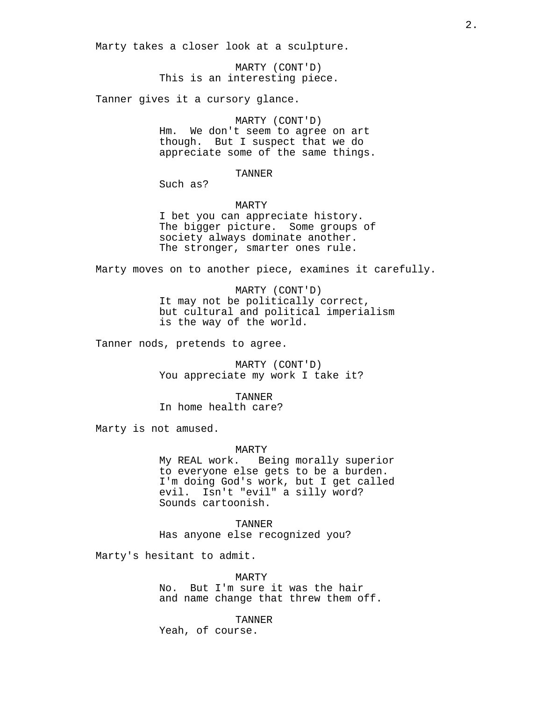Marty takes a closer look at a sculpture.

MARTY (CONT'D) This is an interesting piece.

Tanner gives it a cursory glance.

## MARTY (CONT'D)

Hm. We don't seem to agree on art though. But I suspect that we do appreciate some of the same things.

TANNER

Such as?

MARTY

I bet you can appreciate history. The bigger picture. Some groups of society always dominate another. The stronger, smarter ones rule.

Marty moves on to another piece, examines it carefully.

MARTY (CONT'D) It may not be politically correct, but cultural and political imperialism is the way of the world.

Tanner nods, pretends to agree.

MARTY (CONT'D) You appreciate my work I take it?

TANNER

In home health care?

Marty is not amused.

#### MARTY

My REAL work. Being morally superior to everyone else gets to be a burden. I'm doing God's work, but I get called evil. Isn't "evil" a silly word? Sounds cartoonish.

TANNER Has anyone else recognized you?

Marty's hesitant to admit.

MARTY No. But I'm sure it was the hair and name change that threw them off.

TANNER Yeah, of course.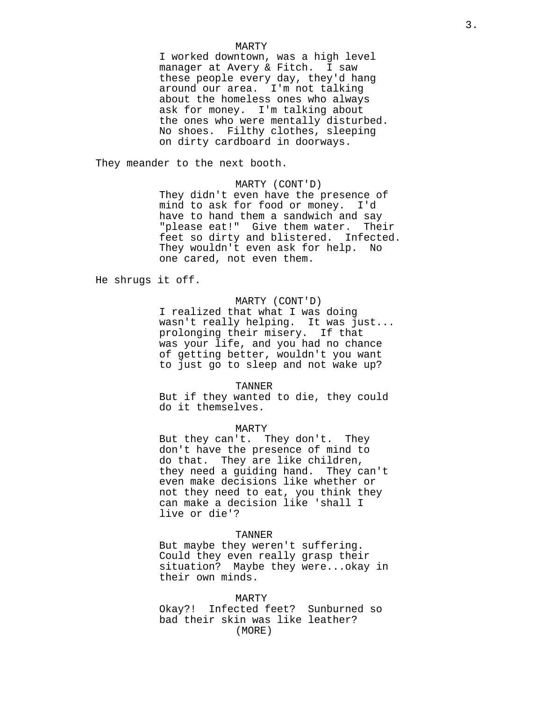### MARTY

I worked downtown, was a high level manager at Avery & Fitch. I saw these people every day, they'd hang around our area. I'm not talking about the homeless ones who always ask for money. I'm talking about the ones who were mentally disturbed. No shoes. Filthy clothes, sleeping on dirty cardboard in doorways.

They meander to the next booth.

# MARTY (CONT'D)

They didn't even have the presence of mind to ask for food or money. I'd have to hand them a sandwich and say "please eat!" Give them water. Their feet so dirty and blistered. Infected. They wouldn't even ask for help. No one cared, not even them.

He shrugs it off.

# MARTY (CONT'D)

I realized that what I was doing wasn't really helping. It was just... prolonging their misery. If that was your life, and you had no chance of getting better, wouldn't you want to just go to sleep and not wake up?

TANNER

But if they wanted to die, they could do it themselves.

# MARTY

But they can't. They don't. They don't have the presence of mind to do that. They are like children, they need a guiding hand. They can't even make decisions like whether or not they need to eat, you think they can make a decision like 'shall I live or die'?

## TANNER

But maybe they weren't suffering. Could they even really grasp their situation? Maybe they were...okay in their own minds.

#### MARTY

Okay?! Infected feet? Sunburned so bad their skin was like leather? (MORE)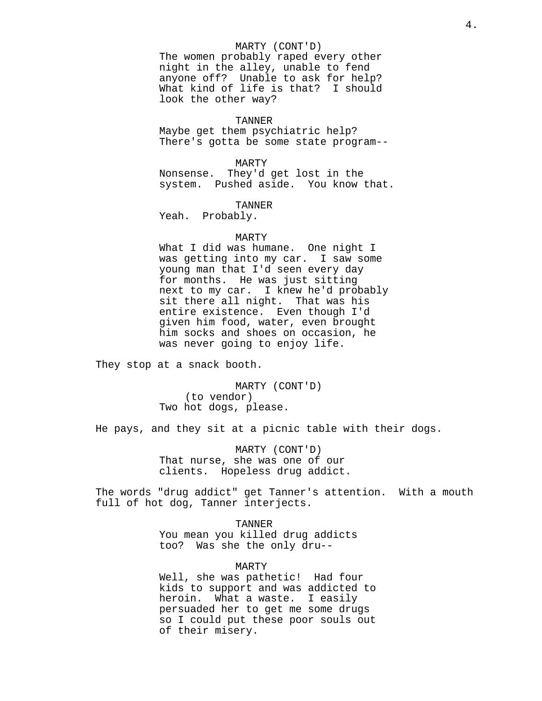# MARTY (CONT'D)

The women probably raped every other night in the alley, unable to fend anyone off? Unable to ask for help? What kind of life is that? I should look the other way?

### TANNER

Maybe get them psychiatric help? There's gotta be some state program--

MARTY

Nonsense. They'd get lost in the system. Pushed aside. You know that.

TANNER

Yeah. Probably.

### MARTY

What I did was humane. One night I was getting into my car. I saw some young man that I'd seen every day for months. He was just sitting next to my car. I knew he'd probably sit there all night. That was his entire existence. Even though I'd given him food, water, even brought him socks and shoes on occasion, he was never going to enjoy life.

They stop at a snack booth.

MARTY (CONT'D) (to vendor) Two hot dogs, please.

He pays, and they sit at a picnic table with their dogs.

MARTY (CONT'D) That nurse, she was one of our clients. Hopeless drug addict.

The words "drug addict" get Tanner's attention. With a mouth full of hot dog, Tanner interjects.

TANNER

You mean you killed drug addicts too? Was she the only dru--

#### MARTY

Well, she was pathetic! Had four kids to support and was addicted to heroin. What a waste. I easily persuaded her to get me some drugs so I could put these poor souls out of their misery.